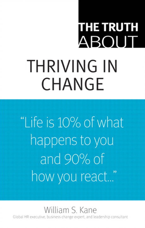# **THE TRUTH** AROL IT THRIVING IN CHANGE

"Life is 10% of what happens to you and 90% of how you react..."

William S. Kane Global HR executive, business change expert, and leadership consultant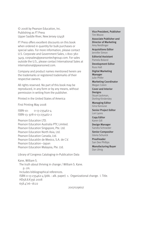© 2008 by Pearson Education, Inc. Publishing as FT Press Upper Saddle River, New Jersey 07458

FT Press offers excellent discounts on this book when ordered in quantity for bulk purchases or special sales. For more information, please contact U.S. Corporate and Government Sales, 1-800-382- 3419, corpsales@pearsontechgroup.com. For sales outside the U.S., please contact International Sales at international@pearsoned.com.

Company and product names mentioned herein are the trademarks or registered trademarks of their respective owners.

All rights reserved. No part of this book may be reproduced, in any form or by any means, without permission in writing from the publisher.

Printed in the United States of America

First Printing May 2008

ISBN-10: 0-13-235462-4 ISBN-13: 978-0-13-235462-2

Pearson Education LTD. Pearson Education Australia PTY, Limited. Pearson Education Singapore, Pte. Ltd. Pearson Education North Asia, Ltd. Pearson Education Canada, Ltd. Pearson Educatión de Mexico, S.A. de C.V. Pearson Education—Japan Pearson Education Malaysia, Pte. Ltd.

Library of Congress Cataloging-in-Publication Data

Jennifer Simon Editorial Assistant Pamela Boland

Tim Moore

Development Editor Russ Hall

Vice President, Publisher

Associate Publisher and Director of Marketing Amy Neidlinger Acquisitions Editor

Digital Marketing Manager Julie Phifer

Marketing Coordinator Megan Colvin

Cover and Interior Designs Stuart Jackman, Dorling Kindersley

Managing Editor Gina Kanouse

Senior Project Editor Lori Lyons

Copy Editor Karen Gill

Design Manager Sandra Schroeder

Senior Compositor Gloria Schurick

Proofreader San Dee Phillips

Manufacturing Buyer Dan Uhrig

Kane, William S. The truth about thriving in change / William S. Kane. p. cm. Includes bibliographical references. ISBN 0-13-235462-4 (pbk. : alk. paper) 1. Organizational change. I. Title. HD58.8.K356 2008 658.4'06--dc22

2007029607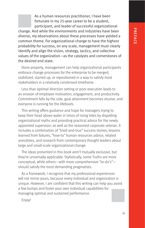As a human resources practitioner, I have been fortunate in my 25-year career to be a student, participant, and leader of successful organizational change. And while the environments and industries have been diverse, my observations about these processes have yielded a common theme. For organizational change to have the highest probability for success, on any scale, management must clearly identify and align the vision, strategy, tactics, and collective values of the organization—as the catalysts and cornerstones of the desired end state.

Done properly, management can help organizational participants embrace change processes for the enterprise to be merged, stabilized, started up, or repositioned in a way to satisfy most stakeholders in a relatively condensed timeframe.

Less than optimal direction setting or poor execution leads to an erosion of employee motivation, engagement, and productivity. Commitment falls by the side, goal attainment becomes elusive, and everyone is running for the lifeboats.

This writing offers guidance and hope for managers trying to keep their head above water in times of rising tides by dispelling organizational myths and providing practical advice for the newly appointed supervisor, as well as the seasoned corporate veteran. It includes a combination of "tried-and-true" success stories, lessons learned from failures, "how-to" human resources advice, related anecdotes, and research from contemporary thought leaders about large and small-scale organizational change.

The ideas presented in this book aren't mutually exclusive, but they're universally applicable. Stylistically, some Truths are more conceptual, while others—with more comprehensive "to-do's" should satisfy the most demanding pragmatists.

As a framework, I recognize that my professional experiences will not mirror yours, because every individual and organization is unique. However, I am confident that this writing can help you avoid a few bumps and foster your own individual capabilities for managing optimal and sustained performance.

Enjoy!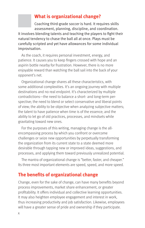#### **What is organizational change?**

Coaching third-grade soccer is hard. It requires skills assessment, planning, discipline, and coordination. It involves blending talents and teaching the players to fight their natural tendency to chase the ball all at once. Plays must be carefully scripted and yet have allowances for some individual improvisation.

As the coach, it requires personal investment, energy, and patience. It causes you to keep fingers crossed with hope and an aspirin bottle nearby for frustration. However, there is no more enjoyable reward than watching the ball sail into the back of your opponent's net.

Organizational change shares all these characteristics, with some additional complexities. It's an ongoing journey with multiple destinations and no real endpoint. It's characterized by multiple contradictions—the need to balance a short- and long-term perspective; the need to blend or select conservative and liberal points of view; the ability to be objective when analyzing subjective matters; the talent to have patience when time is of the essence; and the ability to let go of old practices, processes, and mindsets while gravitating toward new ones.

For the purposes of this writing, managing change is the allencompassing process by which you confront or overcome challenges or seize new opportunities by perpetually transforming the organization from its current state to a state deemed more desirable through tapping new or improved ideas, suggestions, and processes, and applying them toward previously unrealized potential.

The mantra of organizational change is "better, faster, and cheaper." Its three most important elements are speed, speed, and more speed.

#### **The benefits of organizational change**

Change, even for the sake of change, can have many benefits beyond process improvements, market share enhancement, or greater profitability. It offers individual and collective learning opportunities. It may also heighten employee engagement and interest in work, thus increasing productivity and job satisfaction. Likewise, employees will have a greater sense of pride and ownership if they participate.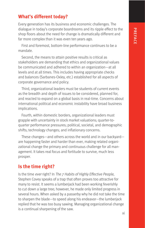#### **What's different today?**

Every generation has its business and economic challenges. The dialogue in today's corporate boardrooms and its ripple effect to the shop floors about the need for change is dramatically different and far more complex than it was even ten years ago.

First and foremost, bottom-line performance continues to be a mandate.

Second, the means to attain positive results is critical as stakeholders are demanding that ethics and organizational values be communicated and adhered to within an organization—at all levels and at all times. This includes having appropriate checks and balances (Sarbanes-Oxley, etc.) established for all aspects of corporate governance and policy.

Third, organizational leaders must be students of current events as the breadth and depth of issues to be considered, planned for, and reacted to expand on a global basis in real-time. Concerns about international political and economic instability have broad business implications.

Fourth, within domestic borders, organizational leaders must grapple with uncertainty in stock market valuations; quarter-toquarter performance pressures; political, societal, and demographic shifts; technology changes; and inflationary concerns.

These changes—and others across the world and in our backyard are happening faster and harder than ever, making related organizational change the primary and continuous challenge for all management. It takes real focus and fortitude to survive, much less prosper.

#### **Is the time right?**

Is the time ever right? In The 7 Habits of Highly Effective People, Stephen Covey speaks of a trap that often proves too attractive for many to resist. It seems a lumberjack had been working feverishly to cut down a large tree; however, he made only limited progress in several hours. When asked by a passerby why he did not take the time to sharpen the blade—to speed along his endeavor—the lumberjack replied that he was too busy sawing. Managing organizational change is a continual sharpening of the saw.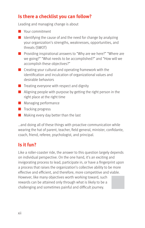#### **Is there a checklist you can follow?**

Leading and managing change is about

- **Nour commitment**
- $\blacksquare$  Identifying the cause of and the need for change by analyzing your organization's strengths, weaknesses, opportunities, and threats (SWOT)
- $\blacksquare$  Providing inspirational answers to "Why are we here?" "Where are we going?" "What needs to be accomplished?" and "How will we accomplish these objectives?"
- $\blacksquare$  Creating your cultural and operating framework with the identification and inculcation of organizational values and desirable behaviors
- $\blacksquare$  Treating everyone with respect and dignity
- $\blacksquare$  Aligning people with purpose by getting the right person in the right place at the right time
- **Nanaging performance**
- **Tracking progress**
- **Naking every day better than the last**

…and doing all of these things with proactive communication while wearing the hat of parent, teacher, field general, minister, confidante, coach, friend, referee, psychologist, and principal.

### **Is it fun?**

Like a roller-coaster ride, the answer to this question largely depends on individual perspective. On the one hand, it's an exciting and invigorating process to lead, participate in, or have a fingerprint upon a process that raises the organization's collective ability to be more effective and efficient, and therefore, more competitive and viable. However, like many objectives worth working toward, such

rewards can be attained only through what is likely to be a challenging and sometimes painful and difficult journey.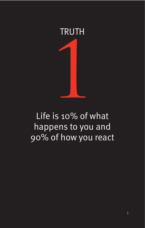

## Life is 10% of what happens to you and 90% of how you react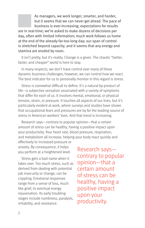As managers, we work longer, smarter, and harder, but it seems that we can never get ahead. The pace of business is ever-increasing; expectations for results are in real-time; we're asked to make dozens of decisions per day, often with limited information; much work follows us home at the end of the already-far-too-long day; our span of control is stretched beyond capacity; and it seems that any energy and stamina are eroded by noon.

It isn't pretty, but it's reality. Change is a given. The chaotic "better, faster, and cheaper" world is here to stay.

In many respects, we don't have control over many of these dynamic business challenges; however, we can control how we react. The best indicator for us to personally monitor in this regard is stress.

Stress is somewhat difficult to define. It's a natural by-product of life—a subjective sensation associated with a variety of symptoms that differ for each of us. It involves mental, emotional, or physical tension, strain, or pressure. It touches all aspects of our lives, but it's particularly evident at work, where surveys and studies have shown that occupational fears and pressures are by far the leading source of stress in American workers' lives. And that trend is increasing.

Research says—contrary to popular opinion—that a certain amount of stress can be healthy, having a positive impact upon your productivity. Your heart rate, blood pressure, respiration, and metabolism all increase, helping your body react quickly and

effectively to increased pressure or anxiety. By consequence, it helps you perform at a heightened level.

Stress gets a bad name when it takes over. Too much stress, such as derived from dealing with potential job insecurity or change, can be crippling. Emotional responses range from a sense of loss, much like grief, to eventual energy rejuvenation. Its early troubling stages include numbness, paralysis, irritability, and resistance.

Research says contrary to popular opinion—that a certain amount of stress can be healthy, having a positive impact upon your productivity.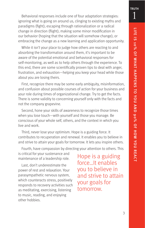**TRUTH** 

Behavioral responses include one of four adaptation strategies: 1 ignoring what is going on around us, clinging to existing myths and paradigms (fight); escaping through rationalization or a radical change in direction (flight); making some minor modification in our behavior (hoping that the situation will somehow change); or embracing the change as a new learning and application opportunity.

While it isn't your place to judge how others are reacting to and absorbing the transformation around them, it's important to be aware of the potential emotional and behavioral responses for self-monitoring, as well as to help others through the experience. To this end, there are some scientifically proven tips to deal with anger. frustration, and exhaustion—helping you keep your head while those about you are losing theirs.

First, recognize there may be some early ambiguity, misinformation, and confusion about possible courses of action for your business and your role during times of organizational change. Try to get the facts. There is some validity to concerning yourself only with the facts and not the company grapevine.

Second, hone your skills of awareness to recognize those times when you lose touch—with yourself and those you manage. Be conscious of your whole self, others, and the context in which you live and work.

Third, never lose your optimism. Hope is a guiding force. It contributes to recuperation and renewal. It enables you to believe in and strive to attain your goals for tomorrow. It lets you inspire others.

Fourth, have compassion by directing your attention to others. This

is critical for your sustenance and maintenance of a leadership role.

Last, don't underestimate the power of rest and relaxation. Your parasympathetic nervous system, which counteracts stress, positively responds to recovery activities such as meditating, exercising, listening to music, reading, and enjoying other hobbies.

Hope is a guiding force…It enables you to believe in and strive to attain your goals for tomorrow.